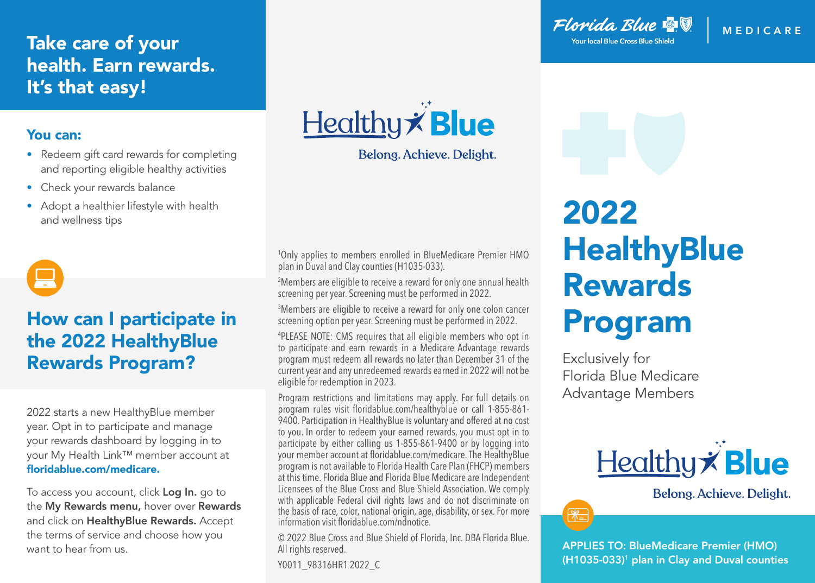## Take care of your health. Earn rewards. It's that easy!

#### You can:

- Redeem gift card rewards for completing and reporting eligible healthy activities
- Check your rewards balance
- Adopt a healthier lifestyle with health and wellness tips



## How can I participate in the 2022 HealthyBlue Rewards Program?

2022 starts a new HealthyBlue member year. Opt in to participate and manage your rewards dashboard by logging in to your My Health Link™ member account at floridablue.com/medicare.

To access you account, click Log In. go to the My Rewards menu, hover over Rewards and click on HealthyBlue Rewards. Accept the terms of service and choose how you want to hear from us.

Healthy **Blue** 

Belong. Achieve. Delight.

1 Only applies to members enrolled in BlueMedicare Premier HMO plan in Duval and Clay counties (H1035-033).

2 Members are eligible to receive a reward for only one annual health screening per year. Screening must be performed in 2022.

3 Members are eligible to receive a reward for only one colon cancer screening option per year. Screening must be performed in 2022.

4 PLEASE NOTE: CMS requires that all eligible members who opt in to participate and earn rewards in a Medicare Advantage rewards program must redeem all rewards no later than December 31 of the current year and any unredeemed rewards earned in 2022 will not be eligible for redemption in 2023.

Program restrictions and limitations may apply. For full details on program rules visit floridablue.com/healthyblue or call 1-855-861- 9400. Participation in HealthyBlue is voluntary and offered at no cost to you. In order to redeem your earned rewards, you must opt in to participate by either calling us 1-855-861-9400 or by logging into your member account at floridablue.com/medicare. The HealthyBlue program is not available to Florida Health Care Plan (FHCP) members at this time. Florida Blue and Florida Blue Medicare are Independent Licensees of the Blue Cross and Blue Shield Association. We comply with applicable Federal civil rights laws and do not discriminate on the basis of race, color, national origin, age, disability, or sex. For more information visit floridablue.com/ndnotice.

© 2022 Blue Cross and Blue Shield of Florida, Inc. DBA Florida Blue. All rights reserved.

Y0011\_98316HR1 2022\_C

Florida Blue & V **Your local Blue Cross Blue Shield** 

**MEDIC ARE**

# 2022 **HealthyBlue** Rewards Program

Exclusively for Florida Blue Medicare Advantage Members



Belong. Achieve. Delight.



APPLIES TO: BlueMedicare Premier (HMO) (H1035-033)<sup>1</sup> plan in Clay and Duval counties